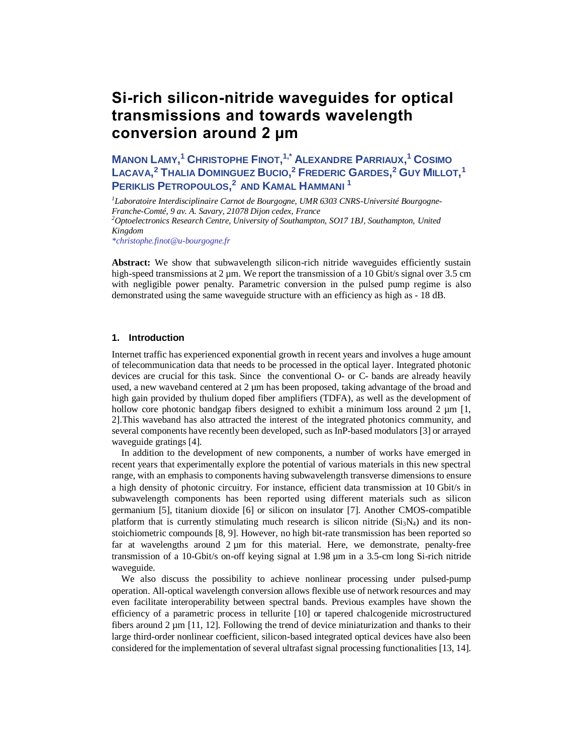# **Si-rich silicon-nitride waveguides for optical transmissions and towards wavelength conversion around 2 µm**

**MANON LAMY, <sup>1</sup> CHRISTOPHE FINOT, 1,\* ALEXANDRE PARRIAUX, <sup>1</sup> COSIMO**   $\sf{L}\alpha$ cava, $^2$  Thalia Dominguez Bucio, $^2$  Frederic Gardes, $^2$  Guy Millot, $^1$ **PERIKLIS PETROPOULOS, <sup>2</sup> AND KAMAL HAMMANI <sup>1</sup>**

*<sup>1</sup>Laboratoire Interdisciplinaire Carnot de Bourgogne, UMR 6303 CNRS-Université Bourgogne-Franche-Comté, 9 av. A. Savary, 21078 Dijon cedex, France <sup>2</sup>Optoelectronics Research Centre, University of Southampton, SO17 1BJ, Southampton, United Kingdom*

*\*christophe.finot@u-bourgogne.fr*

**Abstract:** We show that subwavelength silicon-rich nitride waveguides efficiently sustain high-speed transmissions at 2 um. We report the transmission of a 10 Gbit/s signal over 3.5 cm with negligible power penalty. Parametric conversion in the pulsed pump regime is also demonstrated using the same waveguide structure with an efficiency as high as - 18 dB.

## **1. Introduction**

Internet traffic has experienced exponential growth in recent years and involves a huge amount of telecommunication data that needs to be processed in the optical layer. Integrated photonic devices are crucial for this task. Since the conventional O- or C- bands are already heavily used, a new waveband centered at 2  $\mu$ m has been proposed, taking advantage of the broad and high gain provided by thulium doped fiber amplifiers (TDFA), as well as the development of hollow core photonic bandgap fibers designed to exhibit a minimum loss around 2  $\mu$ m [1, 2].This waveband has also attracted the interest of the integrated photonics community, and several components have recently been developed, such as InP-based modulators [3] or arrayed waveguide gratings [4].

In addition to the development of new components, a number of works have emerged in recent years that experimentally explore the potential of various materials in this new spectral range, with an emphasis to components having subwavelength transverse dimensions to ensure a high density of photonic circuitry. For instance, efficient data transmission at 10 Gbit/s in subwavelength components has been reported using different materials such as silicon germanium [5], titanium dioxide [6] or silicon on insulator [7]. Another CMOS-compatible platform that is currently stimulating much research is silicon nitride  $(Si<sub>3</sub>N<sub>4</sub>)$  and its nonstoichiometric compounds [8, 9]. However, no high bit-rate transmission has been reported so far at wavelengths around  $2 \mu m$  for this material. Here, we demonstrate, penalty-free transmission of a 10-Gbit/s on-off keying signal at 1.98 µm in a 3.5-cm long Si-rich nitride waveguide.

We also discuss the possibility to achieve nonlinear processing under pulsed-pump operation. All-optical wavelength conversion allows flexible use of network resources and may even facilitate interoperability between spectral bands. Previous examples have shown the efficiency of a parametric process in tellurite [10] or tapered chalcogenide microstructured fibers around  $2 \mu m$  [11, 12]. Following the trend of device miniaturization and thanks to their large third-order nonlinear coefficient, silicon-based integrated optical devices have also been considered for the implementation of several ultrafast signal processing functionalities [13, 14].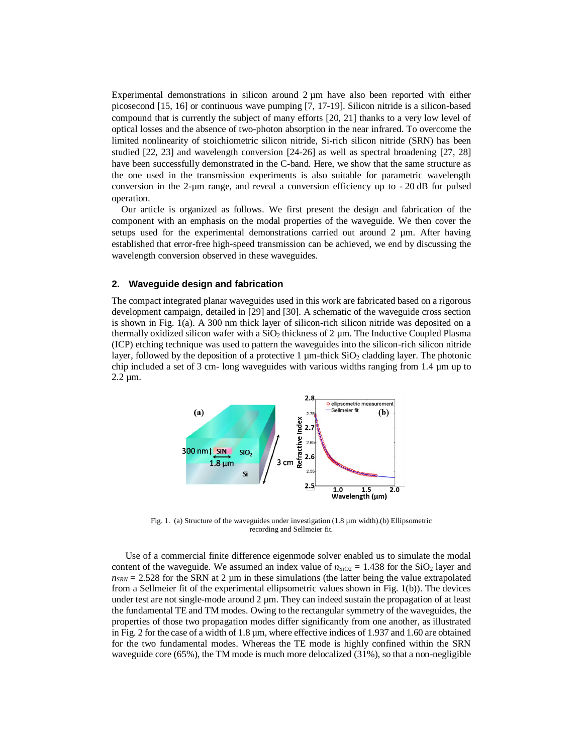Experimental demonstrations in silicon around 2  $\mu$ m have also been reported with either picosecond [15, 16] or continuous wave pumping [7, 17-19]. Silicon nitride is a silicon-based compound that is currently the subject of many efforts [20, 21] thanks to a very low level of optical losses and the absence of two-photon absorption in the near infrared. To overcome the limited nonlinearity of stoichiometric silicon nitride, Si-rich silicon nitride (SRN) has been studied [22, 23] and wavelength conversion [24-26] as well as spectral broadening [27, 28] have been successfully demonstrated in the C-band. Here, we show that the same structure as the one used in the transmission experiments is also suitable for parametric wavelength conversion in the 2-µm range, and reveal a conversion efficiency up to - 20 dB for pulsed operation.

Our article is organized as follows. We first present the design and fabrication of the component with an emphasis on the modal properties of the waveguide. We then cover the setups used for the experimental demonstrations carried out around  $2 \mu m$ . After having established that error-free high-speed transmission can be achieved, we end by discussing the wavelength conversion observed in these waveguides.

## **2. Waveguide design and fabrication**

The compact integrated planar waveguides used in this work are fabricated based on a rigorous development campaign, detailed in [29] and [30]. A schematic of the waveguide cross section is shown in Fig. 1(a). A 300 nm thick layer of silicon-rich silicon nitride was deposited on a thermally oxidized silicon wafer with a  $SiO<sub>2</sub>$  thickness of 2  $\mu$ m. The Inductive Coupled Plasma (ICP) etching technique was used to pattern the waveguides into the silicon-rich silicon nitride layer, followed by the deposition of a protective  $1 \mu$ m-thick SiO<sub>2</sub> cladding layer. The photonic chip included a set of 3 cm- long waveguides with various widths ranging from 1.4 µm up to  $2.2 \mu m$ .



Fig. 1. (a) Structure of the waveguides under investigation (1.8 µm width).(b) Ellipsometric recording and Sellmeier fit.

Use of a commercial finite difference eigenmode solver enabled us to simulate the modal content of the waveguide. We assumed an index value of  $n_{SiO2} = 1.438$  for the SiO<sub>2</sub> layer and  $n_{SRN}$  = 2.528 for the SRN at 2  $\mu$ m in these simulations (the latter being the value extrapolated from a Sellmeier fit of the experimental ellipsometric values shown in Fig. 1(b)). The devices under test are not single-mode around  $2 \mu$ m. They can indeed sustain the propagation of at least the fundamental TE and TM modes. Owing to the rectangular symmetry of the waveguides, the properties of those two propagation modes differ significantly from one another, as illustrated in Fig. 2 for the case of a width of 1.8 µm, where effective indices of 1.937 and 1.60 are obtained for the two fundamental modes. Whereas the TE mode is highly confined within the SRN waveguide core (65%), the TM mode is much more delocalized (31%), so that a non-negligible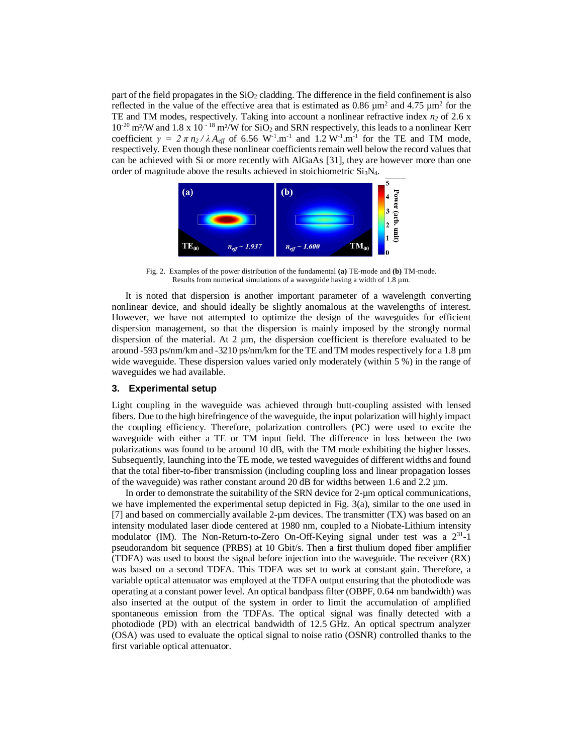part of the field propagates in the  $SiO<sub>2</sub>$  cladding. The difference in the field confinement is also reflected in the value of the effective area that is estimated as  $0.86 \mu m^2$  and  $4.75 \mu m^2$  for the TE and TM modes, respectively. Taking into account a nonlinear refractive index *n<sup>2</sup>* of 2.6 x  $10^{-20}$  m<sup>2</sup>/W and  $1.8 \times 10^{-18}$  m<sup>2</sup>/W for SiO<sub>2</sub> and SRN respectively, this leads to a nonlinear Kerr coefficient  $\gamma = 2 \pi n_2 / \lambda A_{\text{eff}}$  of 6.56 W<sup>-1</sup>.m<sup>-1</sup> and 1.2 W<sup>-1</sup>.m<sup>-1</sup> for the TE and TM mode, respectively. Even though these nonlinear coefficients remain well below the record values that can be achieved with Si or more recently with AlGaAs [31], they are however more than one order of magnitude above the results achieved in stoichiometric  $Si<sub>3</sub>N<sub>4</sub>$ .



Fig. 2. Examples of the power distribution of the fundamental **(a)** TE-mode and **(b)** TM-mode. Results from numerical simulations of a waveguide having a width of 1.8 µm.

It is noted that dispersion is another important parameter of a wavelength converting nonlinear device, and should ideally be slightly anomalous at the wavelengths of interest. However, we have not attempted to optimize the design of the waveguides for efficient dispersion management, so that the dispersion is mainly imposed by the strongly normal dispersion of the material. At  $2 \mu m$ , the dispersion coefficient is therefore evaluated to be around -593 ps/nm/km and -3210 ps/nm/km for the TE and TM modes respectively for a 1.8 µm wide waveguide. These dispersion values varied only moderately (within 5 %) in the range of waveguides we had available.

#### **3. Experimental setup**

Light coupling in the waveguide was achieved through butt-coupling assisted with lensed fibers. Due to the high birefringence of the waveguide, the input polarization will highly impact the coupling efficiency. Therefore, polarization controllers (PC) were used to excite the waveguide with either a TE or TM input field. The difference in loss between the two polarizations was found to be around 10 dB, with the TM mode exhibiting the higher losses. Subsequently, launching into the TE mode, we tested waveguides of different widths and found that the total fiber-to-fiber transmission (including coupling loss and linear propagation losses of the waveguide) was rather constant around 20 dB for widths between 1.6 and 2.2  $\mu$ m.

In order to demonstrate the suitability of the SRN device for 2-µm optical communications, we have implemented the experimental setup depicted in Fig. 3(a), similar to the one used in [7] and based on commercially available 2-µm devices. The transmitter (TX) was based on an intensity modulated laser diode centered at 1980 nm, coupled to a Niobate-Lithium intensity modulator (IM). The Non-Return-to-Zero On-Off-Keying signal under test was a  $2^{31}$ -1 pseudorandom bit sequence (PRBS) at 10 Gbit/s. Then a first thulium doped fiber amplifier (TDFA) was used to boost the signal before injection into the waveguide. The receiver (RX) was based on a second TDFA. This TDFA was set to work at constant gain. Therefore, a variable optical attenuator was employed at the TDFA output ensuring that the photodiode was operating at a constant power level. An optical bandpass filter (OBPF, 0.64 nm bandwidth) was also inserted at the output of the system in order to limit the accumulation of amplified spontaneous emission from the TDFAs. The optical signal was finally detected with a photodiode (PD) with an electrical bandwidth of 12.5 GHz. An optical spectrum analyzer (OSA) was used to evaluate the optical signal to noise ratio (OSNR) controlled thanks to the first variable optical attenuator.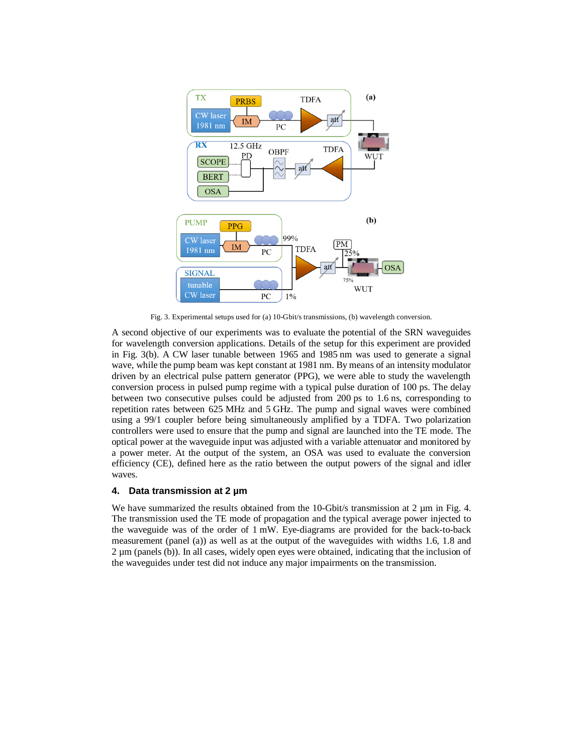

Fig. 3. Experimental setups used for (a) 10-Gbit/s transmissions, (b) wavelength conversion.

A second objective of our experiments was to evaluate the potential of the SRN waveguides for wavelength conversion applications. Details of the setup for this experiment are provided in Fig. 3(b). A CW laser tunable between 1965 and 1985 nm was used to generate a signal wave, while the pump beam was kept constant at 1981 nm. By means of an intensity modulator driven by an electrical pulse pattern generator (PPG), we were able to study the wavelength conversion process in pulsed pump regime with a typical pulse duration of 100 ps. The delay between two consecutive pulses could be adjusted from 200 ps to 1.6 ns, corresponding to repetition rates between 625 MHz and 5 GHz. The pump and signal waves were combined using a 99/1 coupler before being simultaneously amplified by a TDFA. Two polarization controllers were used to ensure that the pump and signal are launched into the TE mode. The optical power at the waveguide input was adjusted with a variable attenuator and monitored by a power meter. At the output of the system, an OSA was used to evaluate the conversion efficiency (CE), defined here as the ratio between the output powers of the signal and idler waves.

# **4. Data transmission at 2 µm**

We have summarized the results obtained from the 10-Gbit/s transmission at  $2 \mu m$  in Fig. 4. The transmission used the TE mode of propagation and the typical average power injected to the waveguide was of the order of 1 mW. Eye-diagrams are provided for the back-to-back measurement (panel (a)) as well as at the output of the waveguides with widths 1.6, 1.8 and 2 µm (panels (b)). In all cases, widely open eyes were obtained, indicating that the inclusion of the waveguides under test did not induce any major impairments on the transmission.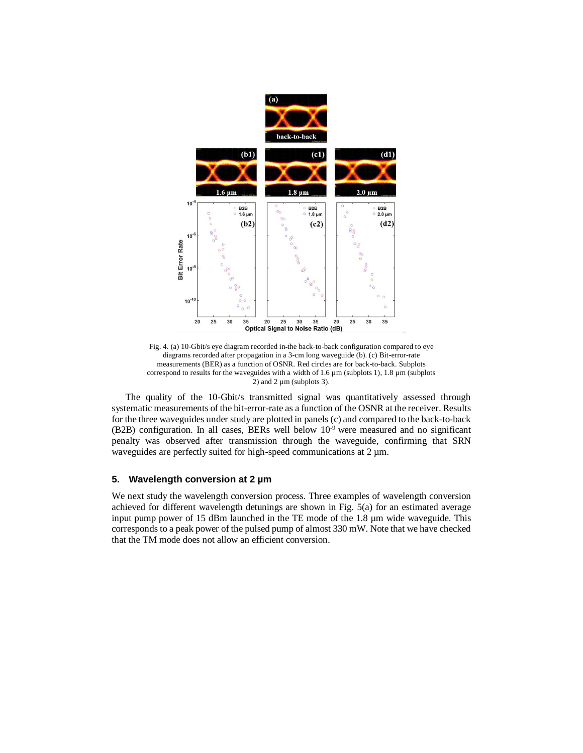

Fig. 4. (a) 10-Gbit/s eye diagram recorded in the back-to-back configuration compared to eye diagrams recorded after propagation in a 3-cm long waveguide (b). (c) Bit-error-rate measurements (BER) as a function of OSNR. Red circles are for back-to-back. Subplots correspond to results for the waveguides with a width of  $1.6 \,\mu$ m (subplots 1),  $1.8 \,\mu$ m (subplots 2) and  $2 \mu$ m (subplots 3).

The quality of the 10-Gbit/s transmitted signal was quantitatively assessed through systematic measurements of the bit-error-rate as a function of the OSNR at the receiver. Results for the three waveguides under study are plotted in panels (c) and compared to the back-to-back (B2B) configuration. In all cases, BERs well below  $10^{-9}$  were measured and no significant penalty was observed after transmission through the waveguide, confirming that SRN waveguides are perfectly suited for high-speed communications at 2  $\mu$ m.

#### **5. Wavelength conversion at 2 µm**

We next study the wavelength conversion process. Three examples of wavelength conversion achieved for different wavelength detunings are shown in Fig. 5(a) for an estimated average input pump power of 15 dBm launched in the TE mode of the 1.8 µm wide waveguide. This corresponds to a peak power of the pulsed pump of almost 330 mW. Note that we have checked that the TM mode does not allow an efficient conversion.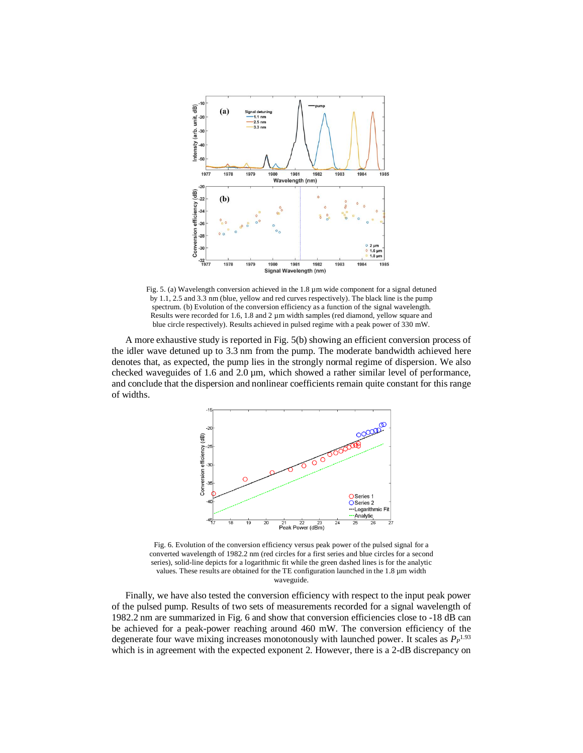

Fig. 5. (a) Wavelength conversion achieved in the  $1.8 \mu m$  wide component for a signal detuned by 1.1, 2.5 and 3.3 nm (blue, yellow and red curves respectively). The black line is the pump spectrum. (b) Evolution of the conversion efficiency as a function of the signal wavelength. Results were recorded for 1.6, 1.8 and 2  $\mu$ m width samples (red diamond, yellow square and blue circle respectively). Results achieved in pulsed regime with a peak power of 330 mW.

A more exhaustive study is reported in Fig. 5(b) showing an efficient conversion process of the idler wave detuned up to 3.3 nm from the pump. The moderate bandwidth achieved here denotes that, as expected, the pump lies in the strongly normal regime of dispersion. We also checked waveguides of 1.6 and 2.0  $\mu$ m, which showed a rather similar level of performance, and conclude that the dispersion and nonlinear coefficients remain quite constant for this range of widths.



Fig. 6. Evolution of the conversion efficiency versus peak power of the pulsed signal for a converted wavelength of 1982.2 nm (red circles for a first series and blue circles for a second series), solid-line depicts for a logarithmic fit while the green dashed lines is for the analytic values. These results are obtained for the TE configuration launched in the 1.8 µm width waveguide.

Finally, we have also tested the conversion efficiency with respect to the input peak power of the pulsed pump. Results of two sets of measurements recorded for a signal wavelength of 1982.2 nm are summarized in Fig. 6 and show that conversion efficiencies close to -18 dB can be achieved for a peak-power reaching around 460 mW. The conversion efficiency of the degenerate four wave mixing increases monotonously with launched power. It scales as *P<sup>P</sup>* 1.93 which is in agreement with the expected exponent 2. However, there is a 2-dB discrepancy on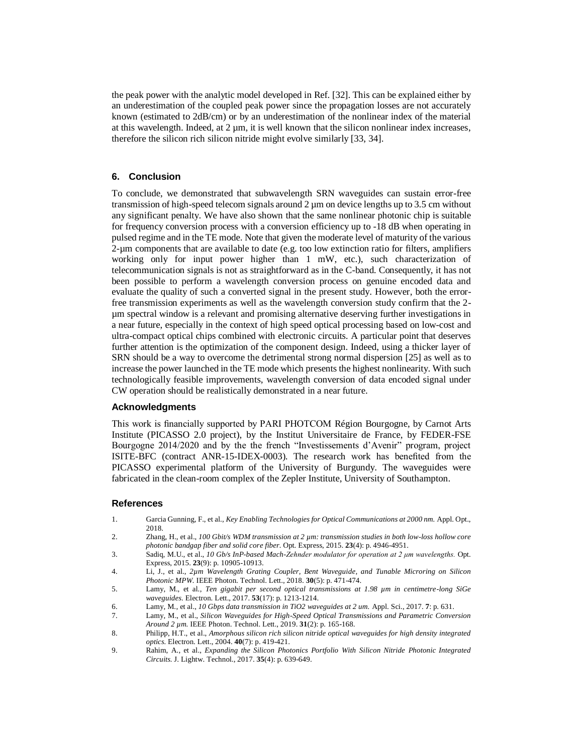the peak power with the analytic model developed in Ref. [32]. This can be explained either by an underestimation of the coupled peak power since the propagation losses are not accurately known (estimated to 2dB/cm) or by an underestimation of the nonlinear index of the material at this wavelength. Indeed, at 2 µm, it is well known that the silicon nonlinear index increases, therefore the silicon rich silicon nitride might evolve similarly [33, 34].

## **6. Conclusion**

To conclude, we demonstrated that subwavelength SRN waveguides can sustain error-free transmission of high-speed telecom signals around  $2 \mu$ m on device lengths up to 3.5 cm without any significant penalty. We have also shown that the same nonlinear photonic chip is suitable for frequency conversion process with a conversion efficiency up to -18 dB when operating in pulsed regime and in the TE mode. Note that given the moderate level of maturity of the various 2-µm components that are available to date (e.g. too low extinction ratio for filters, amplifiers working only for input power higher than 1 mW, etc.), such characterization of telecommunication signals is not as straightforward as in the C-band. Consequently, it has not been possible to perform a wavelength conversion process on genuine encoded data and evaluate the quality of such a converted signal in the present study. However, both the errorfree transmission experiments as well as the wavelength conversion study confirm that the 2 µm spectral window is a relevant and promising alternative deserving further investigations in a near future, especially in the context of high speed optical processing based on low-cost and ultra-compact optical chips combined with electronic circuits. A particular point that deserves further attention is the optimization of the component design. Indeed, using a thicker layer of SRN should be a way to overcome the detrimental strong normal dispersion [25] as well as to increase the power launched in the TE mode which presents the highest nonlinearity. With such technologically feasible improvements, wavelength conversion of data encoded signal under CW operation should be realistically demonstrated in a near future.

# **Acknowledgments**

This work is financially supported by PARI PHOTCOM Région Bourgogne, by Carnot Arts Institute (PICASSO 2.0 project), by the Institut Universitaire de France, by FEDER-FSE Bourgogne 2014/2020 and by the the french "Investissements d'Avenir" program, project ISITE-BFC (contract ANR-15-IDEX-0003). The research work has benefited from the PICASSO experimental platform of the University of Burgundy. The waveguides were fabricated in the clean-room complex of the Zepler Institute, University of Southampton.

#### **References**

- 1. Garcia Gunning, F., et al., *Key Enabling Technologies for Optical Communications at 2000 nm.* Appl. Opt., 2018.
- 2. Zhang, H., et al., *100 Gbit/s WDM transmission at 2 µm: transmission studies in both low-loss hollow core photonic bandgap fiber and solid core fiber.* Opt. Express, 2015. **23**(4): p. 4946-4951.
- 3. Sadiq, M.U., et al., *10 Gb/s InP-based Mach-Zehnder modulator for operation at 2 μm wavelengths.* Opt. Express, 2015. **23**(9): p. 10905-10913.
- 4. Li, J., et al., *2µm Wavelength Grating Coupler, Bent Waveguide, and Tunable Microring on Silicon Photonic MPW.* IEEE Photon. Technol. Lett., 2018. **30**(5): p. 471-474.
- 5. Lamy, M., et al., *Ten gigabit per second optical transmissions at 1.98 µm in centimetre-long SiGe waveguides.* Electron. Lett., 2017. **53**(17): p. 1213-1214.
- 6. Lamy, M., et al., *10 Gbps data transmission in TiO2 waveguides at 2 um.* Appl. Sci., 2017. **7**: p. 631.
- 7. Lamy, M., et al., *Silicon Waveguides for High-Speed Optical Transmissions and Parametric Conversion Around 2 µm.* IEEE Photon. Technol. Lett., 2019. **31**(2): p. 165-168.
- 8. Philipp, H.T., et al., *Amorphous silicon rich silicon nitride optical waveguides for high density integrated optics.* Electron. Lett., 2004. **40**(7): p. 419-421.
- 9. Rahim, A., et al., *Expanding the Silicon Photonics Portfolio With Silicon Nitride Photonic Integrated Circuits.* J. Lightw. Technol., 2017. **35**(4): p. 639-649.